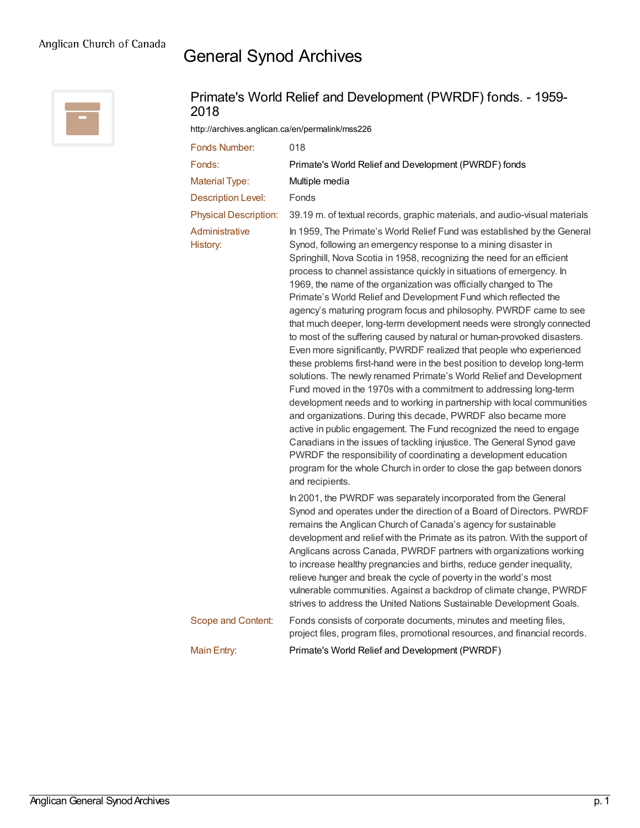## General Synod Archives



## Primate's World Relief and Development (PWRDF) fonds. - 1959- 2018

<http://archives.anglican.ca/en/permalink/mss226>

| Fonds Number:                | 018                                                                                                                                                                                                                                                                                                                                                                                                                                                                                                                                                                                                                                                                                                                                                                                                                                                                                                                                                                                                                                                                                                                                                                                                                                                                                                                                                                                                                   |
|------------------------------|-----------------------------------------------------------------------------------------------------------------------------------------------------------------------------------------------------------------------------------------------------------------------------------------------------------------------------------------------------------------------------------------------------------------------------------------------------------------------------------------------------------------------------------------------------------------------------------------------------------------------------------------------------------------------------------------------------------------------------------------------------------------------------------------------------------------------------------------------------------------------------------------------------------------------------------------------------------------------------------------------------------------------------------------------------------------------------------------------------------------------------------------------------------------------------------------------------------------------------------------------------------------------------------------------------------------------------------------------------------------------------------------------------------------------|
| Fonds:                       | Primate's World Relief and Development (PWRDF) fonds                                                                                                                                                                                                                                                                                                                                                                                                                                                                                                                                                                                                                                                                                                                                                                                                                                                                                                                                                                                                                                                                                                                                                                                                                                                                                                                                                                  |
| <b>Material Type:</b>        | Multiple media                                                                                                                                                                                                                                                                                                                                                                                                                                                                                                                                                                                                                                                                                                                                                                                                                                                                                                                                                                                                                                                                                                                                                                                                                                                                                                                                                                                                        |
| <b>Description Level:</b>    | Fonds                                                                                                                                                                                                                                                                                                                                                                                                                                                                                                                                                                                                                                                                                                                                                                                                                                                                                                                                                                                                                                                                                                                                                                                                                                                                                                                                                                                                                 |
| <b>Physical Description:</b> | 39.19 m. of textual records, graphic materials, and audio-visual materials                                                                                                                                                                                                                                                                                                                                                                                                                                                                                                                                                                                                                                                                                                                                                                                                                                                                                                                                                                                                                                                                                                                                                                                                                                                                                                                                            |
| Administrative<br>History:   | In 1959, The Primate's World Relief Fund was established by the General<br>Synod, following an emergency response to a mining disaster in<br>Springhill, Nova Scotia in 1958, recognizing the need for an efficient<br>process to channel assistance quickly in situations of emergency. In<br>1969, the name of the organization was officially changed to The<br>Primate's World Relief and Development Fund which reflected the<br>agency's maturing program focus and philosophy. PWRDF came to see<br>that much deeper, long-term development needs were strongly connected<br>to most of the suffering caused by natural or human-provoked disasters.<br>Even more significantly, PWRDF realized that people who experienced<br>these problems first-hand were in the best position to develop long-term<br>solutions. The newly renamed Primate's World Relief and Development<br>Fund moved in the 1970s with a commitment to addressing long-term<br>development needs and to working in partnership with local communities<br>and organizations. During this decade, PWRDF also became more<br>active in public engagement. The Fund recognized the need to engage<br>Canadians in the issues of tackling injustice. The General Synod gave<br>PWRDF the responsibility of coordinating a development education<br>program for the whole Church in order to close the gap between donors<br>and recipients. |
|                              | In 2001, the PWRDF was separately incorporated from the General<br>Synod and operates under the direction of a Board of Directors. PWRDF<br>remains the Anglican Church of Canada's agency for sustainable<br>development and relief with the Primate as its patron. With the support of<br>Anglicans across Canada, PWRDF partners with organizations working<br>to increase healthy pregnancies and births, reduce gender inequality,<br>relieve hunger and break the cycle of poverty in the world's most<br>vulnerable communities. Against a backdrop of climate change, PWRDF<br>strives to address the United Nations Sustainable Development Goals.                                                                                                                                                                                                                                                                                                                                                                                                                                                                                                                                                                                                                                                                                                                                                           |
| Scope and Content:           | Fonds consists of corporate documents, minutes and meeting files,<br>project files, program files, promotional resources, and financial records.                                                                                                                                                                                                                                                                                                                                                                                                                                                                                                                                                                                                                                                                                                                                                                                                                                                                                                                                                                                                                                                                                                                                                                                                                                                                      |
| Main Entry:                  | Primate's World Relief and Development (PWRDF)                                                                                                                                                                                                                                                                                                                                                                                                                                                                                                                                                                                                                                                                                                                                                                                                                                                                                                                                                                                                                                                                                                                                                                                                                                                                                                                                                                        |